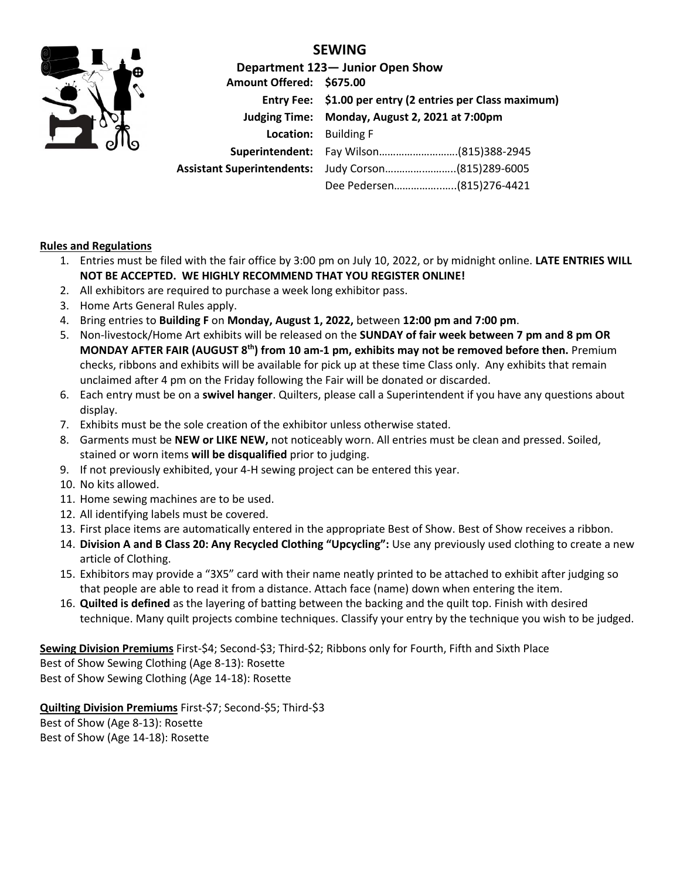

## **SEWING**

|                          | Department 123- Junior Open Show                          |  |  |
|--------------------------|-----------------------------------------------------------|--|--|
| Amount Offered: \$675.00 |                                                           |  |  |
|                          | Entry Fee: \$1.00 per entry (2 entries per Class maximum) |  |  |
|                          | Judging Time: Monday, August 2, 2021 at 7:00pm            |  |  |
|                          | <b>Location:</b> Building F                               |  |  |
|                          |                                                           |  |  |
|                          | Assistant Superintendents: Judy Corson(815)289-6005       |  |  |
|                          | Dee Pedersen(815)276-4421                                 |  |  |

## **Rules and Regulations**

- 1. Entries must be filed with the fair office by 3:00 pm on July 10, 2022, or by midnight online. **LATE ENTRIES WILL NOT BE ACCEPTED. WE HIGHLY RECOMMEND THAT YOU REGISTER ONLINE!**
- 2. All exhibitors are required to purchase a week long exhibitor pass.
- 3. Home Arts General Rules apply.
- 4. Bring entries to **Building F** on **Monday, August 1, 2022,** between **12:00 pm and 7:00 pm**.
- 5. Non-livestock/Home Art exhibits will be released on the **SUNDAY of fair week between 7 pm and 8 pm OR MONDAY AFTER FAIR (AUGUST 8 th) from 10 am-1 pm, exhibits may not be removed before then.** Premium checks, ribbons and exhibits will be available for pick up at these time Class only. Any exhibits that remain unclaimed after 4 pm on the Friday following the Fair will be donated or discarded.
- 6. Each entry must be on a **swivel hanger**. Quilters, please call a Superintendent if you have any questions about display.
- 7. Exhibits must be the sole creation of the exhibitor unless otherwise stated.
- 8. Garments must be **NEW or LIKE NEW,** not noticeably worn. All entries must be clean and pressed. Soiled, stained or worn items **will be disqualified** prior to judging.
- 9. If not previously exhibited, your 4-H sewing project can be entered this year.
- 10. No kits allowed.
- 11. Home sewing machines are to be used.
- 12. All identifying labels must be covered.
- 13. First place items are automatically entered in the appropriate Best of Show. Best of Show receives a ribbon.
- 14. **Division A and B Class 20: Any Recycled Clothing "Upcycling":** Use any previously used clothing to create a new article of Clothing.
- 15. Exhibitors may provide a "3X5" card with their name neatly printed to be attached to exhibit after judging so that people are able to read it from a distance. Attach face (name) down when entering the item.
- 16. **Quilted is defined** as the layering of batting between the backing and the quilt top. Finish with desired technique. Many quilt projects combine techniques. Classify your entry by the technique you wish to be judged.

**Sewing Division Premiums** First-\$4; Second-\$3; Third-\$2; Ribbons only for Fourth, Fifth and Sixth Place Best of Show Sewing Clothing (Age 8-13): Rosette Best of Show Sewing Clothing (Age 14-18): Rosette

**Quilting Division Premiums** First-\$7; Second-\$5; Third-\$3 Best of Show (Age 8-13): Rosette Best of Show (Age 14-18): Rosette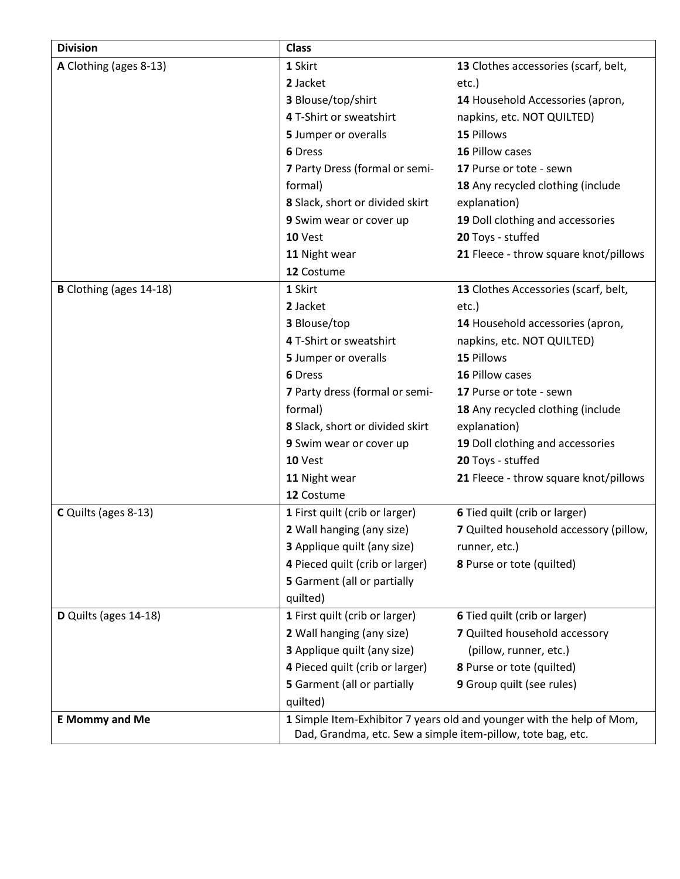| <b>Division</b>                | <b>Class</b>                                                                                                                         |                                        |  |
|--------------------------------|--------------------------------------------------------------------------------------------------------------------------------------|----------------------------------------|--|
| A Clothing (ages 8-13)         | 1 Skirt                                                                                                                              | 13 Clothes accessories (scarf, belt,   |  |
|                                | 2 Jacket                                                                                                                             | etc.)                                  |  |
|                                | 3 Blouse/top/shirt                                                                                                                   | 14 Household Accessories (apron,       |  |
|                                | 4 T-Shirt or sweatshirt                                                                                                              | napkins, etc. NOT QUILTED)             |  |
|                                | 5 Jumper or overalls                                                                                                                 | 15 Pillows                             |  |
|                                | 6 Dress                                                                                                                              | 16 Pillow cases                        |  |
|                                | 7 Party Dress (formal or semi-                                                                                                       | 17 Purse or tote - sewn                |  |
|                                | formal)                                                                                                                              | 18 Any recycled clothing (include      |  |
|                                | 8 Slack, short or divided skirt                                                                                                      | explanation)                           |  |
|                                | 9 Swim wear or cover up                                                                                                              | 19 Doll clothing and accessories       |  |
|                                | 10 Vest                                                                                                                              | 20 Toys - stuffed                      |  |
|                                | 11 Night wear                                                                                                                        | 21 Fleece - throw square knot/pillows  |  |
|                                | 12 Costume                                                                                                                           |                                        |  |
| <b>B</b> Clothing (ages 14-18) | 1 Skirt                                                                                                                              | 13 Clothes Accessories (scarf, belt,   |  |
|                                | 2 Jacket                                                                                                                             | etc.)                                  |  |
|                                | 3 Blouse/top                                                                                                                         | 14 Household accessories (apron,       |  |
|                                | 4 T-Shirt or sweatshirt                                                                                                              | napkins, etc. NOT QUILTED)             |  |
|                                | 5 Jumper or overalls                                                                                                                 | 15 Pillows                             |  |
|                                | 6 Dress                                                                                                                              | 16 Pillow cases                        |  |
|                                | 7 Party dress (formal or semi-                                                                                                       | 17 Purse or tote - sewn                |  |
|                                | formal)                                                                                                                              | 18 Any recycled clothing (include      |  |
|                                | 8 Slack, short or divided skirt                                                                                                      | explanation)                           |  |
|                                | 9 Swim wear or cover up                                                                                                              | 19 Doll clothing and accessories       |  |
|                                | 10 Vest                                                                                                                              | 20 Toys - stuffed                      |  |
|                                | 11 Night wear                                                                                                                        | 21 Fleece - throw square knot/pillows  |  |
|                                | 12 Costume                                                                                                                           |                                        |  |
| C Quilts (ages 8-13)           | 1 First quilt (crib or larger)                                                                                                       | 6 Tied quilt (crib or larger)          |  |
|                                | 2 Wall hanging (any size)                                                                                                            | 7 Quilted household accessory (pillow, |  |
|                                | 3 Applique quilt (any size)                                                                                                          | runner, etc.)                          |  |
|                                | 4 Pieced quilt (crib or larger)                                                                                                      | 8 Purse or tote (quilted)              |  |
|                                | 5 Garment (all or partially                                                                                                          |                                        |  |
|                                | quilted)                                                                                                                             |                                        |  |
| D Quilts (ages 14-18)          | 1 First quilt (crib or larger)                                                                                                       | 6 Tied quilt (crib or larger)          |  |
|                                | 2 Wall hanging (any size)                                                                                                            | 7 Quilted household accessory          |  |
|                                | 3 Applique quilt (any size)                                                                                                          | (pillow, runner, etc.)                 |  |
|                                | 4 Pieced quilt (crib or larger)                                                                                                      | 8 Purse or tote (quilted)              |  |
|                                | 5 Garment (all or partially                                                                                                          | 9 Group quilt (see rules)              |  |
|                                | quilted)                                                                                                                             |                                        |  |
| <b>E</b> Mommy and Me          | 1 Simple Item-Exhibitor 7 years old and younger with the help of Mom,<br>Dad, Grandma, etc. Sew a simple item-pillow, tote bag, etc. |                                        |  |
|                                |                                                                                                                                      |                                        |  |